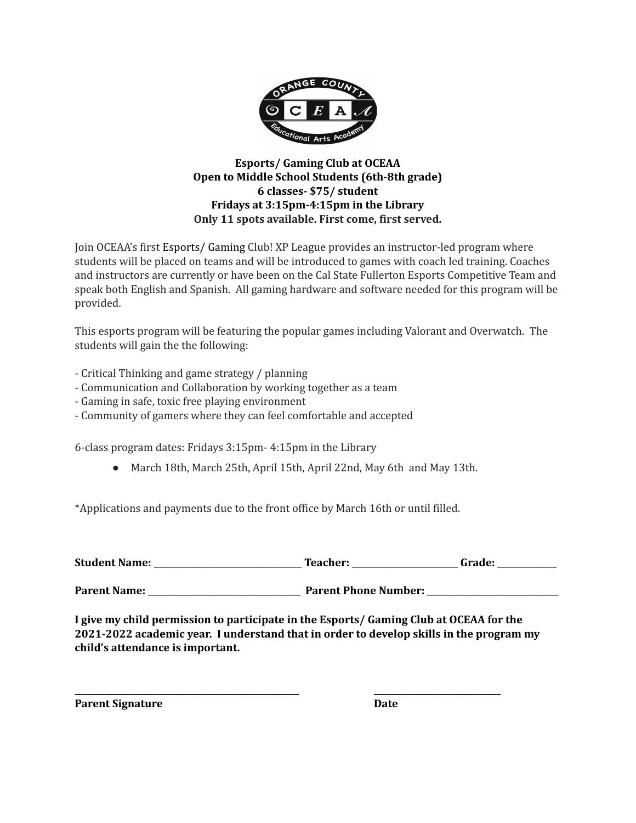

## **Esports/ Gaming Club at OCEAA Open to Middle School Students (6th-8th grade) 6 classes- \$75/ student Fridays at 3:15pm-4:15pm in the Library Only 11 spots available. First come, first served.**

Join OCEAA's first Esports/ Gaming Club! XP League provides an instructor-led program where students will be placed on teams and will be introduced to games with coach led training. Coaches and instructors are currently or have been on the Cal State Fullerton Esports Competitive Team and speak both English and Spanish. All gaming hardware and software needed for this program will be provided.

This esports program will be featuring the popular games including Valorant and Overwatch. The students will gain the the following:

- Critical Thinking and game strategy / planning
- Communication and Collaboration by working together as a team
- Gaming in safe, toxic free playing environment
- Community of gamers where they can feel comfortable and accepted

6-class program dates: Fridays 3:15pm- 4:15pm in the Library

● March 18th, March 25th, April 15th, April 22nd, May 6th and May 13th.

\*Applications and payments due to the front office by March 16th or until filled.

**Student Name:** \_\_\_\_\_\_\_\_\_\_\_\_\_\_\_\_\_\_\_\_\_\_\_\_\_\_\_\_\_\_\_\_\_\_\_ **Teacher:** \_\_\_\_\_\_\_\_\_\_\_\_\_\_\_\_\_\_\_\_\_\_\_\_\_ **Grade:** \_\_\_\_\_\_\_\_\_\_\_\_\_\_

**Parent Name: Parent Phone Number: Parent Phone Number: Parent Phone Number: Parent Phone Number: Parent** 

**I give my child permission to participate in the Esports/ Gaming Club at OCEAA for the 2021-2022 academic year. I understand that in order to develop skills in the program my child's attendance is important.**

**\_\_\_\_\_\_\_\_\_\_\_\_\_\_\_\_\_\_\_\_\_\_\_\_\_\_\_\_\_\_\_\_\_\_\_\_\_\_\_\_\_\_\_\_\_\_\_\_\_\_\_\_\_ \_\_\_\_\_\_\_\_\_\_\_\_\_\_\_\_\_\_\_\_\_\_\_\_\_\_\_\_\_\_**

**Parent Signature Date**